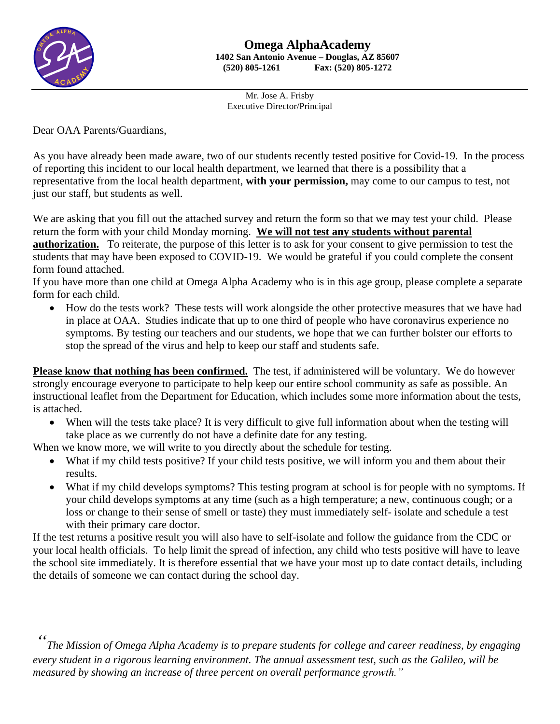

Mr. Jose A. Frisby Executive Director/Principal

Dear OAA Parents/Guardians,

As you have already been made aware, two of our students recently tested positive for Covid-19. In the process of reporting this incident to our local health department, we learned that there is a possibility that a representative from the local health department, **with your permission,** may come to our campus to test, not just our staff, but students as well.

We are asking that you fill out the attached survey and return the form so that we may test your child. Please return the form with your child Monday morning. **We will not test any students without parental authorization.** To reiterate, the purpose of this letter is to ask for your consent to give permission to test the students that may have been exposed to COVID-19. We would be grateful if you could complete the consent form found attached.

If you have more than one child at Omega Alpha Academy who is in this age group, please complete a separate form for each child.

• How do the tests work? These tests will work alongside the other protective measures that we have had in place at OAA. Studies indicate that up to one third of people who have coronavirus experience no symptoms. By testing our teachers and our students, we hope that we can further bolster our efforts to stop the spread of the virus and help to keep our staff and students safe.

**Please know that nothing has been confirmed.** The test, if administered will be voluntary. We do however strongly encourage everyone to participate to help keep our entire school community as safe as possible. An instructional leaflet from the Department for Education, which includes some more information about the tests, is attached.

• When will the tests take place? It is very difficult to give full information about when the testing will take place as we currently do not have a definite date for any testing.

When we know more, we will write to you directly about the schedule for testing.

- What if my child tests positive? If your child tests positive, we will inform you and them about their results.
- What if my child develops symptoms? This testing program at school is for people with no symptoms. If your child develops symptoms at any time (such as a high temperature; a new, continuous cough; or a loss or change to their sense of smell or taste) they must immediately self- isolate and schedule a test with their primary care doctor.

If the test returns a positive result you will also have to self-isolate and follow the guidance from the CDC or your local health officials. To help limit the spread of infection, any child who tests positive will have to leave the school site immediately. It is therefore essential that we have your most up to date contact details, including the details of someone we can contact during the school day.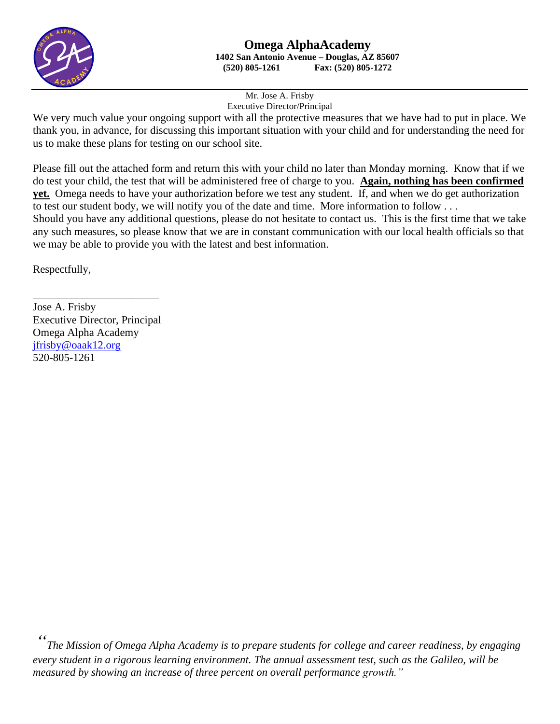

Mr. Jose A. Frisby Executive Director/Principal

We very much value your ongoing support with all the protective measures that we have had to put in place. We thank you, in advance, for discussing this important situation with your child and for understanding the need for us to make these plans for testing on our school site.

Please fill out the attached form and return this with your child no later than Monday morning. Know that if we do test your child, the test that will be administered free of charge to you. **Again, nothing has been confirmed yet.** Omega needs to have your authorization before we test any student. If, and when we do get authorization to test our student body, we will notify you of the date and time. More information to follow . . .

Should you have any additional questions, please do not hesitate to contact us. This is the first time that we take any such measures, so please know that we are in constant communication with our local health officials so that we may be able to provide you with the latest and best information.

Respectfully,

\_\_\_\_\_\_\_\_\_\_\_\_\_\_\_\_\_\_\_\_\_\_\_ Jose A. Frisby Executive Director, Principal Omega Alpha Academy [jfrisby@oaak12.org](mailto:jfrisby@oaak12.org) 520-805-1261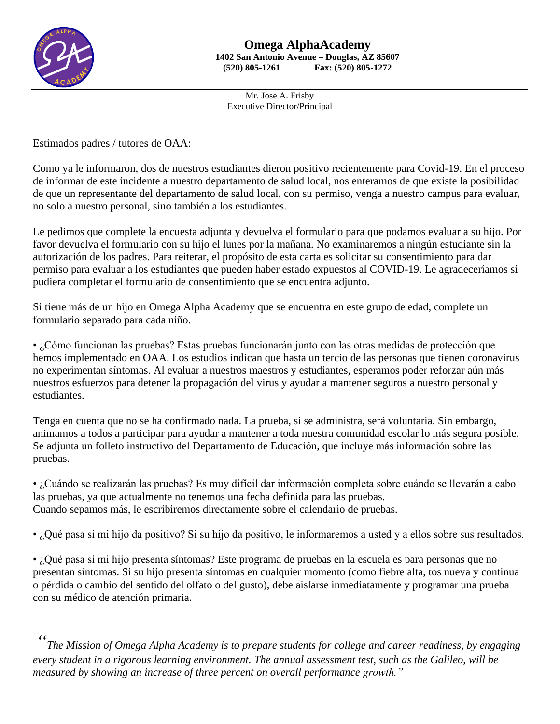

Mr. Jose A. Frisby Executive Director/Principal

Estimados padres / tutores de OAA:

Como ya le informaron, dos de nuestros estudiantes dieron positivo recientemente para Covid-19. En el proceso de informar de este incidente a nuestro departamento de salud local, nos enteramos de que existe la posibilidad de que un representante del departamento de salud local, con su permiso, venga a nuestro campus para evaluar, no solo a nuestro personal, sino también a los estudiantes.

Le pedimos que complete la encuesta adjunta y devuelva el formulario para que podamos evaluar a su hijo. Por favor devuelva el formulario con su hijo el lunes por la mañana. No examinaremos a ningún estudiante sin la autorización de los padres. Para reiterar, el propósito de esta carta es solicitar su consentimiento para dar permiso para evaluar a los estudiantes que pueden haber estado expuestos al COVID-19. Le agradeceríamos si pudiera completar el formulario de consentimiento que se encuentra adjunto.

Si tiene más de un hijo en Omega Alpha Academy que se encuentra en este grupo de edad, complete un formulario separado para cada niño.

• ¿Cómo funcionan las pruebas? Estas pruebas funcionarán junto con las otras medidas de protección que hemos implementado en OAA. Los estudios indican que hasta un tercio de las personas que tienen coronavirus no experimentan síntomas. Al evaluar a nuestros maestros y estudiantes, esperamos poder reforzar aún más nuestros esfuerzos para detener la propagación del virus y ayudar a mantener seguros a nuestro personal y estudiantes.

Tenga en cuenta que no se ha confirmado nada. La prueba, si se administra, será voluntaria. Sin embargo, animamos a todos a participar para ayudar a mantener a toda nuestra comunidad escolar lo más segura posible. Se adjunta un folleto instructivo del Departamento de Educación, que incluye más información sobre las pruebas.

• ¿Cuándo se realizarán las pruebas? Es muy difícil dar información completa sobre cuándo se llevarán a cabo las pruebas, ya que actualmente no tenemos una fecha definida para las pruebas. Cuando sepamos más, le escribiremos directamente sobre el calendario de pruebas.

• ¿Qué pasa si mi hijo da positivo? Si su hijo da positivo, le informaremos a usted y a ellos sobre sus resultados.

• ¿Qué pasa si mi hijo presenta síntomas? Este programa de pruebas en la escuela es para personas que no presentan síntomas. Si su hijo presenta síntomas en cualquier momento (como fiebre alta, tos nueva y continua o pérdida o cambio del sentido del olfato o del gusto), debe aislarse inmediatamente y programar una prueba con su médico de atención primaria.